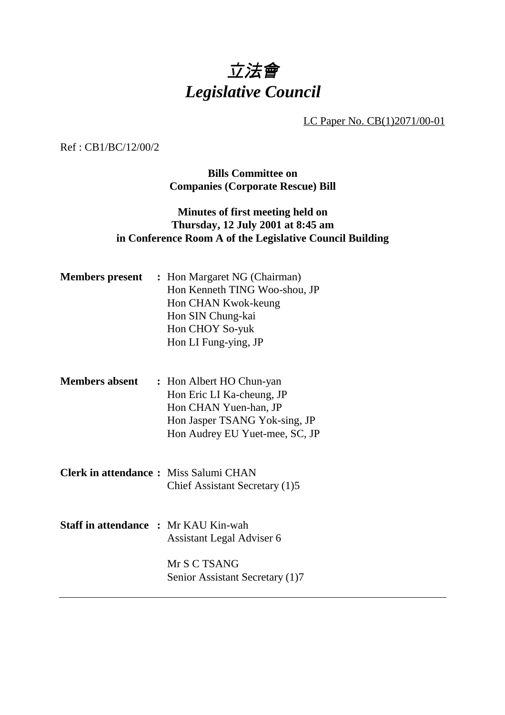# 立法會 *Legislative Council*

LC Paper No. CB(1)2071/00-01

Ref : CB1/BC/12/00/2

**Bills Committee on Companies (Corporate Rescue) Bill**

## **Minutes of first meeting held on Thursday, 12 July 2001 at 8:45 am in Conference Room A of the Legislative Council Building**

|                                              | <b>Members present</b> : Hon Margaret NG (Chairman)<br>Hon Kenneth TING Woo-shou, JP<br>Hon CHAN Kwok-keung<br>Hon SIN Chung-kai<br>Hon CHOY So-yuk<br>Hon LI Fung-ying, JP |
|----------------------------------------------|-----------------------------------------------------------------------------------------------------------------------------------------------------------------------------|
| <b>Members absent</b>                        | : Hon Albert HO Chun-yan<br>Hon Eric LI Ka-cheung, JP<br>Hon CHAN Yuen-han, JP<br>Hon Jasper TSANG Yok-sing, JP<br>Hon Audrey EU Yuet-mee, SC, JP                           |
| <b>Clerk in attendance:</b> Miss Salumi CHAN | Chief Assistant Secretary (1)5                                                                                                                                              |
| <b>Staff in attendance : Mr KAU Kin-wah</b>  | Assistant Legal Adviser 6<br>Mr S C TSANG<br>Senior Assistant Secretary (1)7                                                                                                |